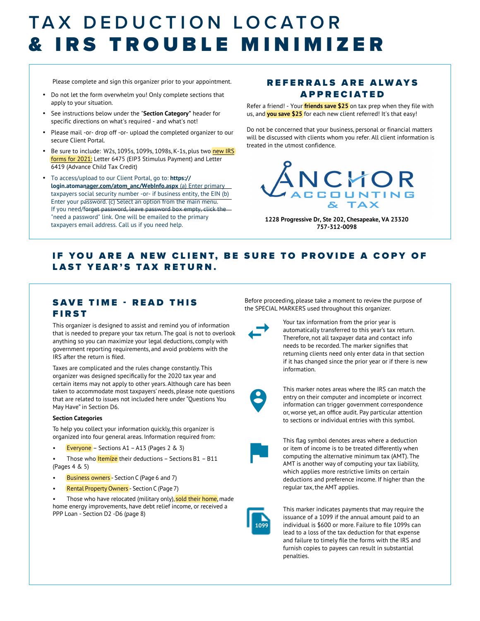### TAX DEDUCTION LOCATOR & IRS TROUBLE MINIMIZER

Please complete and sign this organizer prior to your appointment. REFERRALS ARE ALWAYS

- Do not let the form overwhelm you! Only complete sections that apply to your situation.
- See instructions below under the "**Section Category"** header for specific directions on what's required - and what's not!
- Please mail -or- drop off -or- upload the completed organizer to our secure Client Portal.
- Be sure to include: W2s, 1095s, 1099s, 1098s, K-1s, plus two new IRS forms for 2021: Letter 6475 (EIP3 Stimulus Payment) and Letter 6419 (Advance Child Tax Credit)
- To access/upload to our Client Portal, go to: **https:// login.atomanager.com/atom\_anc/WebInfo.aspx** (a) Enter primary taxpayers social security number -or- if business entity, the EIN (b) Enter your password. (c) Select an option from the main menu. If you need/forget password, leave password box empty, click the "need a password" link. One will be emailed to the primary taxpayers email address. Call us if you need help.

## **APPRECIATED**

Refer a friend! - Your **friends save \$25** on tax prep when they file with us, and **you save \$25** for each new client referred! It's that easy!

Do not be concerned that your business, personal or financial matters will be discussed with clients whom you refer. All client information is treated in the utmost confidence.



**1228 Progressive Dr, Ste 202, Chesapeake, VA 23320 757-312-0098**

### IF YOU ARE A NEW CLIENT, BE SURE TO PROVIDE A COPY OF LAST YEAR'S TAX RETURN.

### SAVE TIME - READ THIS FIRST

This organizer is designed to assist and remind you of information that is needed to prepare your tax return. The goal is not to overlook anything so you can maximize your legal deductions, comply with government reporting requirements, and avoid problems with the IRS after the return is filed.

Taxes are complicated and the rules change constantly. This organizer was designed specifically for the 2020 tax year and certain items may not apply to other years. Although care has been taken to accommodate most taxpayers' needs, please note questions that are related to issues not included here under "Questions You May Have" in Section D6.

#### **Section Categories**

To help you collect your information quickly, this organizer is organized into four general areas. Information required from:

- Everyone Sections A1 A13 (Pages 2 & 3)
- Those who **Itemize** their deductions Sections B1 B11 (Pages 4 & 5)
- Business owners Section C (Page 6 and 7)
- Rental PropertyOwners Section C (Page 7)

Those who have relocated (military only), sold their home, made home energy improvements, have debt relief income, or received a PPP Loan - Section D2 -D6 (page 8)

Before proceeding, please take a moment to review the purpose of the SPECIAL MARKERS used throughout this organizer.



Your tax information from the prior year is automatically transferred to this year's tax return. Therefore, not all taxpayer data and contact info needs to be recorded. The marker signifies that returning clients need only enter data in that section if it has changed since the prior year or if there is new information.



This marker notes areas where the IRS can match the entry on their computer and incomplete or incorrect information can trigger government correspondence or, worse yet, an office audit. Pay particular attention to sections or individual entries with this symbol.



This flag symbol denotes areas where a deduction or item of income is to be treated differently when computing the alternative minimum tax (AMT). The AMT is another way of computing your tax liability, which applies more restrictive limits on certain deductions and preference income. If higher than the regular tax, the AMT applies.



This marker indicates payments that may require the issuance of a 1099 if the annual amount paid to an individual is \$600 or more. Failure to file 1099s can lead to a loss of the tax deduction for that expense and failure to timely file the forms with the IRS and furnish copies to payees can result in substantial penalties.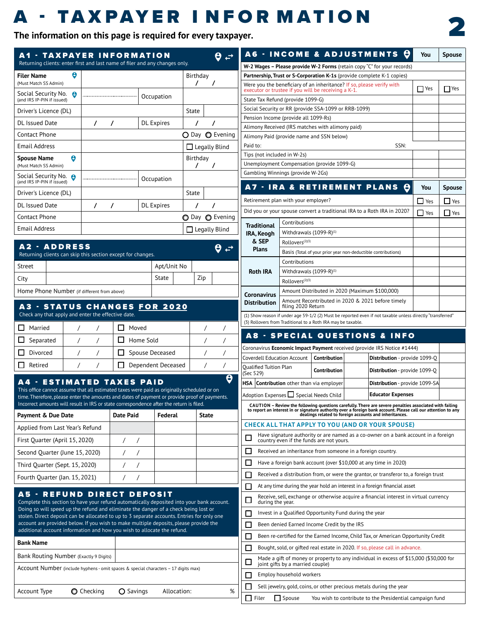### A - TA X PAYER I NFOR M ATION **THE INFURINH IVINH IN THE INFURITY OF A TIME 2**



| <b>A1 - TAXPAYER INFORMATION</b><br>Returning clients: enter first and last name of filer and any changes only.                                                                            |                            |                             |                    |                      |          | A6 - INCO                                                  |               |
|--------------------------------------------------------------------------------------------------------------------------------------------------------------------------------------------|----------------------------|-----------------------------|--------------------|----------------------|----------|------------------------------------------------------------|---------------|
| <b>Filer Name</b>                                                                                                                                                                          | θ                          |                             |                    | Birthday             |          | W-2 Wages – Please <sub>l</sub><br>Partnership, Trust or ! |               |
| (Must Match SS Admin)                                                                                                                                                                      |                            |                             |                    | T<br>7               |          | Were you the benefic                                       |               |
| Social Security No.<br>(and IRS IP-PIN if issued)                                                                                                                                          | Θ                          |                             | Occupation         |                      |          | executor or trustee if<br>State Tax Refund (pro            |               |
| Driver's Licence (DL)                                                                                                                                                                      |                            |                             |                    | State                |          | Social Security or RR                                      |               |
| DL Issued Date                                                                                                                                                                             | $\prime$                   | 7                           | <b>DL</b> Expires  | 7<br>7               |          | Pension Income (prov                                       |               |
| Contact Phone                                                                                                                                                                              |                            |                             |                    | ○ Day ● Evening      |          | Alimony Received (IR                                       |               |
| <b>Email Address</b>                                                                                                                                                                       |                            |                             |                    |                      |          | Alimony Paid (provide<br>Paid to:                          |               |
|                                                                                                                                                                                            |                            |                             |                    | $\Box$ Legally Blind |          | Tips (not included in                                      |               |
| <b>Spouse Name</b><br>(Must Match SS Admin)                                                                                                                                                | θ                          |                             |                    | Birthday<br>7        |          | Unemployment Comp                                          |               |
| Social Security No. 8<br>(and IRS IP-PIN if issued)                                                                                                                                        |                            |                             | Occupation         |                      |          | Gambling Winnings (                                        |               |
| Driver's Licence (DL)                                                                                                                                                                      |                            |                             |                    | State                |          | <b>A7 - IRA 8</b>                                          |               |
| DL Issued Date                                                                                                                                                                             | $\prime$                   | 7                           | <b>DL</b> Expires  | 7<br>7               |          | Retirement plan with                                       |               |
| Contact Phone                                                                                                                                                                              |                            |                             |                    | ◯ Day ◯ Evening      |          | Did you or your spou:                                      |               |
| Email Address                                                                                                                                                                              |                            |                             |                    | $\Box$ Legally Blind |          | <b>Traditional</b>                                         | Cont          |
|                                                                                                                                                                                            |                            |                             |                    |                      |          | IRA, Keogh<br>& SEP                                        | With<br>Rollo |
| A2 - ADDRESS<br>Returning clients can skip this section except for changes.                                                                                                                |                            |                             |                    |                      |          | <b>Plans</b>                                               | <b>Basis</b>  |
| Street                                                                                                                                                                                     |                            |                             | Apt/Unit No        |                      |          |                                                            | Cont          |
|                                                                                                                                                                                            |                            |                             |                    |                      |          | <b>Roth IRA</b>                                            | With          |
| City                                                                                                                                                                                       |                            |                             | State              | Zip                  |          |                                                            | Rollo         |
| Home Phone Number (if different from above)                                                                                                                                                |                            |                             |                    |                      |          | Coronavirus                                                | Amo<br>Amo    |
| A3 - STATUS CHANGES <u>for 2020</u>                                                                                                                                                        |                            |                             |                    |                      |          | <b>Distribution</b>                                        | filinc        |
| Check any that apply and enter the effective date.                                                                                                                                         |                            |                             |                    |                      |          | (1) Show reason if under<br>(3) Rollovers from Traditi     |               |
| П<br>Married<br>ப<br>Separated                                                                                                                                                             | $\prime$<br>$\prime$       | Moved<br>П<br>Home Sold     |                    | Τ<br>Τ               | 7        | A8 - SPEC                                                  |               |
| Divorced                                                                                                                                                                                   | $\prime$<br>$\prime$       | П                           |                    |                      | $\prime$ | Coronavirus Economic                                       |               |
|                                                                                                                                                                                            | $\overline{1}$<br>$\prime$ |                             | Spouse Deceased    | 7                    | $\prime$ | Coverdell Education A                                      |               |
| П<br>Retired                                                                                                                                                                               | $\sqrt{2}$<br>7            | П                           | Dependent Deceased | Τ                    | Τ        | <b>Oualified Tuition Plan</b><br>(Sec 529)                 |               |
|                                                                                                                                                                                            |                            | <b>ESTIMATED TAXES PAID</b> |                    |                      | Θ        | <b>Contribution oth</b><br><b>HSA</b>                      |               |
| This office cannot assume that all estimated taxes were paid as originally scheduled or on<br>time. Therefore, please enter the amounts and dates of payment or provide proof of payments. |                            |                             |                    |                      |          | Adoption Expenses                                          |               |
| Incorrect amounts will result in IRS or state correspondence after the return is filed.                                                                                                    |                            |                             |                    |                      |          | <b>CAUTION - Review tl</b><br>to report an interest in     |               |
| <b>Payment &amp; Due Date</b>                                                                                                                                                              |                            | <b>Date Paid</b>            | Federal            | <b>State</b>         |          |                                                            |               |
| Applied from Last Year's Refund                                                                                                                                                            |                            |                             |                    |                      |          | <b>CHECK ALL THAT</b>                                      |               |
| First Ouarter (April 15, 2020)                                                                                                                                                             |                            | $\prime$<br>7               |                    |                      |          | Have signature<br>country even if                          |               |
| Second Quarter (June 15, 2020)                                                                                                                                                             |                            | $\prime$<br>$\prime$        |                    |                      |          | $\mathbf{I}$<br>Received an inh                            |               |
| Third Quarter (Sept. 15, 2020)                                                                                                                                                             |                            | $\prime$<br>$\sqrt{2}$      |                    |                      |          | Have a foreign                                             |               |
| Fourth Quarter (Jan. 15, 2021)                                                                                                                                                             |                            | Τ<br>7                      |                    |                      |          | Received a dist<br>П                                       |               |
| <b>A5 - REFUND DIRECT DEPOSIT</b>                                                                                                                                                          |                            |                             |                    |                      |          | At any time duri                                           |               |
| Complete this section to have your refund automatically deposited into your bank account.                                                                                                  |                            |                             |                    |                      |          | Receive, sell, ex<br>during the year                       |               |
| Doing so will speed up the refund and eliminate the danger of a check being lost or<br>stolen. Direct deposit can be allocated to up to 3 separate accounts. Entries for only one          |                            |                             |                    |                      |          | Invest in a Qua<br>П                                       |               |
| account are provided below. If you wish to make multiple deposits, please provide the                                                                                                      |                            |                             |                    |                      |          | Been denied Ea                                             |               |
| additional account information and how you wish to allocate the refund.                                                                                                                    |                            |                             |                    |                      |          | Been re-certifie<br>$\sim$                                 |               |
| <b>Bank Name</b>                                                                                                                                                                           |                            |                             |                    |                      |          | Bought, sold, or                                           |               |
| Bank Routing Number (Exactly 9 Digits)                                                                                                                                                     |                            |                             |                    |                      |          | Made a gift of r<br>×.<br>joint gifts by a                 |               |
| Account Number (include hyphens - omit spaces & special characters - 17 digits max)                                                                                                        |                            |                             |                    |                      |          | Employ househ                                              |               |
|                                                                                                                                                                                            |                            |                             |                    |                      |          | Sell jewelry, go                                           |               |
| <b>Account Type</b>                                                                                                                                                                        | <b>O</b> Checking          | O Savings                   | Allocation:        |                      | %        |                                                            |               |

|                                                                                                                              |                                  | <b>A6 - INCOME &amp; ADJUSTMENTS</b>                          | U                                                                                                                                                                                                                                                                                 | You   | <b>Spouse</b> |
|------------------------------------------------------------------------------------------------------------------------------|----------------------------------|---------------------------------------------------------------|-----------------------------------------------------------------------------------------------------------------------------------------------------------------------------------------------------------------------------------------------------------------------------------|-------|---------------|
|                                                                                                                              |                                  |                                                               | W-2 Wages – Please provide W-2 Forms (retain copy "C" for your records)                                                                                                                                                                                                           |       |               |
|                                                                                                                              |                                  |                                                               | <b>Partnership, Trust or S-Corporation K-1s</b> (provide complete K-1 copies)                                                                                                                                                                                                     |       |               |
| Were you the beneficiary of an inheritance? If so, please verify with<br>executor or trustee if you will be receiving a K-1. |                                  |                                                               |                                                                                                                                                                                                                                                                                   | l Yes | <b>I</b> Yes  |
| State Tax Refund (provide 1099-G)                                                                                            |                                  |                                                               |                                                                                                                                                                                                                                                                                   |       |               |
| Social Security or RR (provide SSA-1099 or RRB-1099)                                                                         |                                  |                                                               |                                                                                                                                                                                                                                                                                   |       |               |
| Pension Income (provide all 1099-Rs)                                                                                         |                                  |                                                               |                                                                                                                                                                                                                                                                                   |       |               |
| Alimony Received (IRS matches with alimony paid)                                                                             |                                  |                                                               |                                                                                                                                                                                                                                                                                   |       |               |
| Alimony Paid (provide name and SSN below)                                                                                    |                                  |                                                               |                                                                                                                                                                                                                                                                                   |       |               |
| Paid to:<br>Tips (not included in W-2s)                                                                                      |                                  |                                                               | SSN:                                                                                                                                                                                                                                                                              |       |               |
| Unemployment Compensation (provide 1099-G)                                                                                   |                                  |                                                               |                                                                                                                                                                                                                                                                                   |       |               |
| Gambling Winnings (provide W-2Gs)                                                                                            |                                  |                                                               |                                                                                                                                                                                                                                                                                   |       |               |
| A7 - IRA & RETIREMENT PLANS                                                                                                  |                                  |                                                               | Э                                                                                                                                                                                                                                                                                 | You   | <b>Spouse</b> |
| Retirement plan with your employer?                                                                                          |                                  |                                                               |                                                                                                                                                                                                                                                                                   | Yes   | J Yes         |
|                                                                                                                              |                                  |                                                               | Did you or your spouse convert a traditional IRA to a Roth IRA in 2020?                                                                                                                                                                                                           | Yes   | Yes           |
| Traditional                                                                                                                  | Contributions                    |                                                               |                                                                                                                                                                                                                                                                                   |       |               |
| IRA, Keogh                                                                                                                   | Withdrawals $(1099-R)^{(1)}$     |                                                               |                                                                                                                                                                                                                                                                                   |       |               |
| & SEP                                                                                                                        | Rollovers <sup>(2)(3)</sup>      |                                                               |                                                                                                                                                                                                                                                                                   |       |               |
| <b>Plans</b>                                                                                                                 |                                  | Basis (Total of your prior year non-deductible contributions) |                                                                                                                                                                                                                                                                                   |       |               |
|                                                                                                                              | Contributions                    |                                                               |                                                                                                                                                                                                                                                                                   |       |               |
| Roth IRA                                                                                                                     | Withdrawals $(1099-R)^{(1)}$     |                                                               |                                                                                                                                                                                                                                                                                   |       |               |
|                                                                                                                              | Rollovers <sup>(2)(3)</sup>      |                                                               |                                                                                                                                                                                                                                                                                   |       |               |
| <b>Coronavirus</b>                                                                                                           |                                  | Amount Distributed in 2020 (Maximum \$100,000)                |                                                                                                                                                                                                                                                                                   |       |               |
| <b>Distribution</b>                                                                                                          | filing 2020 Return               |                                                               | Amount Recontributed in 2020 & 2021 before timely                                                                                                                                                                                                                                 |       |               |
|                                                                                                                              |                                  |                                                               | (1) Show reason if under age 59-1/2 (2) Must be reported even if not taxable unless directly "transferred"                                                                                                                                                                        |       |               |
| (3) Rollovers from Traditional to a Roth IRA may be taxable.                                                                 |                                  |                                                               |                                                                                                                                                                                                                                                                                   |       |               |
| A8                                                                                                                           |                                  |                                                               | - SPECIAL QUESTIONS & INFO                                                                                                                                                                                                                                                        |       |               |
|                                                                                                                              |                                  |                                                               | Coronavirus <b>Economic Impact Payment</b> received (provide IRS Notice #1444)                                                                                                                                                                                                    |       |               |
|                                                                                                                              |                                  |                                                               |                                                                                                                                                                                                                                                                                   |       |               |
| Coverdell Education Account                                                                                                  |                                  | <b>Contribution</b>                                           | Distribution - provide 1099-Q                                                                                                                                                                                                                                                     |       |               |
| <b>Oualified Tuition Plan</b>                                                                                                |                                  | Contribution                                                  | <b>Distribution</b> - provide 1099-Q                                                                                                                                                                                                                                              |       |               |
| (Sec 529)                                                                                                                    |                                  |                                                               |                                                                                                                                                                                                                                                                                   |       |               |
| HSA                                                                                                                          |                                  | <b>Contribution</b> other than via employer                   | <b>Distribution</b> - provide 1099-SA                                                                                                                                                                                                                                             |       |               |
| Adoption Expenses Special Needs Child                                                                                        |                                  |                                                               | <b>Educator Expenses</b>                                                                                                                                                                                                                                                          |       |               |
|                                                                                                                              |                                  |                                                               | CAUTION – Review the following questions carefully. There are severe penalties associated with failing<br>to report an interest in or signature authority over a foreign bank account. Please call our attention to any<br>dealings related to foreign accounts and inheritances. |       |               |
|                                                                                                                              |                                  |                                                               | <b>CHECK ALL THAT APPLY TO YOU (AND OR YOUR SPOUSE)</b>                                                                                                                                                                                                                           |       |               |
|                                                                                                                              |                                  | country even if the funds are not yours.                      | Have signature authority or are named as a co-owner on a bank account in a foreign                                                                                                                                                                                                |       |               |
|                                                                                                                              |                                  | Received an inheritance from someone in a foreign country.    |                                                                                                                                                                                                                                                                                   |       |               |
|                                                                                                                              |                                  |                                                               | Have a foreign bank account (over \$10,000 at any time in 2020)                                                                                                                                                                                                                   |       |               |
|                                                                                                                              |                                  |                                                               | Received a distribution from, or were the grantor, or transferor to, a foreign trust                                                                                                                                                                                              |       |               |
|                                                                                                                              |                                  |                                                               | At any time during the year hold an interest in a foreign financial asset                                                                                                                                                                                                         |       |               |
| during the year.                                                                                                             |                                  |                                                               | Receive, sell, exchange or otherwise acquire a financial interest in virtual currency                                                                                                                                                                                             |       |               |
|                                                                                                                              |                                  | Invest in a Qualified Opportunity Fund during the year        |                                                                                                                                                                                                                                                                                   |       |               |
|                                                                                                                              |                                  | Been denied Earned Income Credit by the IRS                   |                                                                                                                                                                                                                                                                                   |       |               |
|                                                                                                                              |                                  |                                                               | Been re-certified for the Earned Income, Child Tax, or American Opportunity Credit                                                                                                                                                                                                |       |               |
|                                                                                                                              |                                  |                                                               | Bought, sold, or gifted real estate in 2020. If so, please call in advance.                                                                                                                                                                                                       |       |               |
|                                                                                                                              | joint gifts by a married couple) |                                                               | Made a gift of money or property to any individual in excess of \$15,000 (\$30,000 for                                                                                                                                                                                            |       |               |
|                                                                                                                              | Employ household workers         |                                                               |                                                                                                                                                                                                                                                                                   |       |               |
|                                                                                                                              |                                  |                                                               | Sell jewelry, gold, coins, or other precious metals during the year                                                                                                                                                                                                               |       |               |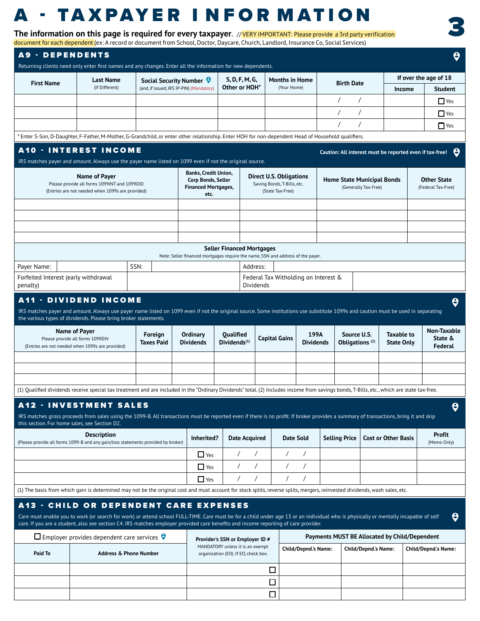# **A - TAXPAYER INFORMATION**

**The information on this page is required for every taxpayer**. // VERY IMPORTANT: Please provide a 3rd party verification dent (ex: A record or document from School, Doctor, Daycare, Church, Landlord, Insurance Co, Social Services)

3

|                                                                 | Returning clients need only enter first names and any changes. Enter all the information for new dependents.                                                                                                                                                                                                                |                   |                                                                                  |                                                                                                             |                       |                                                                                   |                             |                                               |                                                           |                                                          |                                                            |
|-----------------------------------------------------------------|-----------------------------------------------------------------------------------------------------------------------------------------------------------------------------------------------------------------------------------------------------------------------------------------------------------------------------|-------------------|----------------------------------------------------------------------------------|-------------------------------------------------------------------------------------------------------------|-----------------------|-----------------------------------------------------------------------------------|-----------------------------|-----------------------------------------------|-----------------------------------------------------------|----------------------------------------------------------|------------------------------------------------------------|
| <b>First Name</b>                                               | <b>Last Name</b>                                                                                                                                                                                                                                                                                                            |                   | Social Security Number                                                           |                                                                                                             | S, D, F, M, G,        | <b>Months in Home</b>                                                             |                             |                                               | <b>Birth Date</b>                                         |                                                          | If over the age of 18                                      |
|                                                                 | (If Different)                                                                                                                                                                                                                                                                                                              |                   | (and, if issued, IRS IP-PIN) (Mandatory)                                         |                                                                                                             | Other or HOH*         | (Your Home)                                                                       |                             |                                               |                                                           | Income                                                   | <b>Student</b>                                             |
|                                                                 |                                                                                                                                                                                                                                                                                                                             |                   |                                                                                  |                                                                                                             |                       |                                                                                   |                             |                                               |                                                           |                                                          | $\Box$ Yes                                                 |
|                                                                 |                                                                                                                                                                                                                                                                                                                             |                   |                                                                                  |                                                                                                             |                       |                                                                                   |                             | $\prime$                                      |                                                           |                                                          | $\Box$ Yes                                                 |
|                                                                 |                                                                                                                                                                                                                                                                                                                             |                   |                                                                                  |                                                                                                             |                       |                                                                                   |                             |                                               |                                                           |                                                          | $\Box$ Yes                                                 |
|                                                                 | * Enter S-Son, D-Daughter, F-Father, M-Mother, G-Grandchild, or enter other relationship. Enter HOH for non-dependent Head of Household qualifiers.                                                                                                                                                                         |                   |                                                                                  |                                                                                                             |                       |                                                                                   |                             |                                               |                                                           |                                                          |                                                            |
|                                                                 | <b>A10 - INTEREST INCOME</b><br>IRS matches payer and amount. Always use the payer name listed on 1099 even if not the original source.                                                                                                                                                                                     |                   |                                                                                  |                                                                                                             |                       |                                                                                   |                             |                                               |                                                           | Caution: All interest must be reported even if tax-free! | Э                                                          |
|                                                                 | Name of Payer<br>Please provide all forms 1099INT and 1099OID<br>(Entries are not needed when 1099s are provided)                                                                                                                                                                                                           |                   | Banks, Credit Union,<br>Corp Bonds, Seller<br><b>Financed Mortgages,</b><br>etc. |                                                                                                             |                       | <b>Direct U.S. Obligations</b><br>Saving Bonds, T-Bills, etc.<br>(State Tax-Free) |                             |                                               | <b>Home State Municipal Bonds</b><br>(Generally Tax-Free) |                                                          | <b>Other State</b><br>(Federal Tax-Free)                   |
|                                                                 |                                                                                                                                                                                                                                                                                                                             |                   |                                                                                  |                                                                                                             |                       |                                                                                   |                             |                                               |                                                           |                                                          |                                                            |
|                                                                 |                                                                                                                                                                                                                                                                                                                             |                   |                                                                                  |                                                                                                             |                       |                                                                                   |                             |                                               |                                                           |                                                          |                                                            |
|                                                                 |                                                                                                                                                                                                                                                                                                                             |                   |                                                                                  | <b>Seller Financed Mortgages</b>                                                                            |                       |                                                                                   |                             |                                               |                                                           |                                                          |                                                            |
|                                                                 |                                                                                                                                                                                                                                                                                                                             |                   | Note: Seller financed mortgages require the name, SSN and address of the payer.  |                                                                                                             |                       |                                                                                   |                             |                                               |                                                           |                                                          |                                                            |
| Payer Name:<br>Forfeited Interest (early withdrawal<br>penalty) |                                                                                                                                                                                                                                                                                                                             | SSN:              |                                                                                  |                                                                                                             | Address:<br>Dividends | Federal Tax Witholding on Interest &                                              |                             |                                               |                                                           |                                                          |                                                            |
|                                                                 |                                                                                                                                                                                                                                                                                                                             |                   |                                                                                  |                                                                                                             |                       |                                                                                   |                             |                                               |                                                           |                                                          |                                                            |
|                                                                 | <b>A11 - DIVIDEND INCOME</b><br>IRS matches payer and amount. Always use payer name listed on 1099 even if not the original source. Some institutions use substitute 1099s and caution must be used in separating<br>the various types of dividends. Please bring broker statements.<br>Name of Payer                       | Foreign           | Ordinary                                                                         | Qualified                                                                                                   |                       |                                                                                   | 199A                        |                                               | Source U.S.                                               | <b>Taxable to</b>                                        |                                                            |
|                                                                 | Please provide all forms 1099DIV<br>(Entries are not needed when 1099s are provided)                                                                                                                                                                                                                                        | <b>Taxes Paid</b> | <b>Dividends</b>                                                                 | Dividends <sup>(1)</sup>                                                                                    |                       | <b>Capital Gains</b>                                                              | <b>Dividends</b>            |                                               | Obligations <sup>(2)</sup>                                | <b>State Only</b>                                        |                                                            |
|                                                                 |                                                                                                                                                                                                                                                                                                                             |                   |                                                                                  |                                                                                                             |                       |                                                                                   |                             |                                               |                                                           |                                                          |                                                            |
|                                                                 | (1) Qualified dividends receive special tax treatment and are included in the "Ordinary Dividends" total. (2) Includes income from savings bonds, T-Bills, etc., which are state tax-free.                                                                                                                                  |                   |                                                                                  |                                                                                                             |                       |                                                                                   |                             |                                               |                                                           |                                                          | $\boldsymbol{\Theta}$<br>Non-Taxable<br>State &<br>Federal |
|                                                                 | <b>A12 - INVESTMENT SALES</b>                                                                                                                                                                                                                                                                                               |                   |                                                                                  |                                                                                                             |                       |                                                                                   |                             |                                               |                                                           |                                                          |                                                            |
|                                                                 | IRS matches gross proceeds from sales using the 1099-B. All transactions must be reported even if there is no profit. If broker provides a summary of transactions, bring it and skip                                                                                                                                       |                   |                                                                                  |                                                                                                             |                       |                                                                                   |                             |                                               |                                                           |                                                          |                                                            |
|                                                                 | <b>Description</b><br>(Please provide all forms 1099-B and any gain/loss statements provided by broker)                                                                                                                                                                                                                     |                   | Inherited?                                                                       |                                                                                                             | <b>Date Acquired</b>  | <b>Date Sold</b>                                                                  |                             | <b>Selling Price</b>                          |                                                           | <b>Cost or Other Basis</b>                               | <b>Profit</b>                                              |
|                                                                 |                                                                                                                                                                                                                                                                                                                             |                   | $\Box$ Yes                                                                       | $\prime$                                                                                                    | $\prime$              | $\prime$                                                                          | $\prime$                    |                                               |                                                           |                                                          |                                                            |
|                                                                 |                                                                                                                                                                                                                                                                                                                             |                   | $\Box$ Yes                                                                       |                                                                                                             | $\prime$              |                                                                                   | $\prime$                    |                                               |                                                           |                                                          | θ<br>(Memo Only)                                           |
|                                                                 |                                                                                                                                                                                                                                                                                                                             |                   | $\Box$ Yes                                                                       | $\prime$                                                                                                    | $\prime$              | $\prime$                                                                          |                             |                                               |                                                           |                                                          |                                                            |
|                                                                 | (1) The basis from which gain is determined may not be the original cost and must account for stock splits, reverse splits, mergers, reinvested dividends, wash sales, etc.                                                                                                                                                 |                   |                                                                                  |                                                                                                             |                       |                                                                                   |                             |                                               |                                                           |                                                          |                                                            |
|                                                                 | <b>A13 - CHILD OR DEPENDENT CARE EXPENSES</b>                                                                                                                                                                                                                                                                               |                   |                                                                                  |                                                                                                             |                       |                                                                                   |                             |                                               |                                                           |                                                          |                                                            |
|                                                                 | Care must enable you to work (or search for work) or attend school FULL-TIME. Care must be for a child under age 13 or an individual who is physically or mentally incapable of self<br>care. If you are a student, also see section C4. IRS matches employer provided care benefits and income reporting of care provider. |                   |                                                                                  |                                                                                                             |                       |                                                                                   |                             |                                               |                                                           |                                                          |                                                            |
|                                                                 | $\square$ Employer provides dependent care services $\Theta$                                                                                                                                                                                                                                                                |                   |                                                                                  |                                                                                                             |                       |                                                                                   |                             | Payments MUST BE Allocated by Child/Dependent |                                                           |                                                          | θ                                                          |
| Paid To                                                         | <b>Address &amp; Phone Number</b>                                                                                                                                                                                                                                                                                           |                   |                                                                                  | Provider's SSN or Employer ID #<br>MANDATORY unless it is an exempt<br>organization (EO). If EO, check box. |                       |                                                                                   | <b>Child/Depnd.'s Name:</b> |                                               | <b>Child/Depnd.'s Name:</b>                               |                                                          | <b>Child/Depnd.'s Name:</b>                                |
|                                                                 |                                                                                                                                                                                                                                                                                                                             |                   |                                                                                  |                                                                                                             |                       | □                                                                                 |                             |                                               |                                                           |                                                          |                                                            |
| this section. For home sales, see Section D2.                   |                                                                                                                                                                                                                                                                                                                             |                   |                                                                                  |                                                                                                             |                       | □                                                                                 |                             |                                               |                                                           |                                                          |                                                            |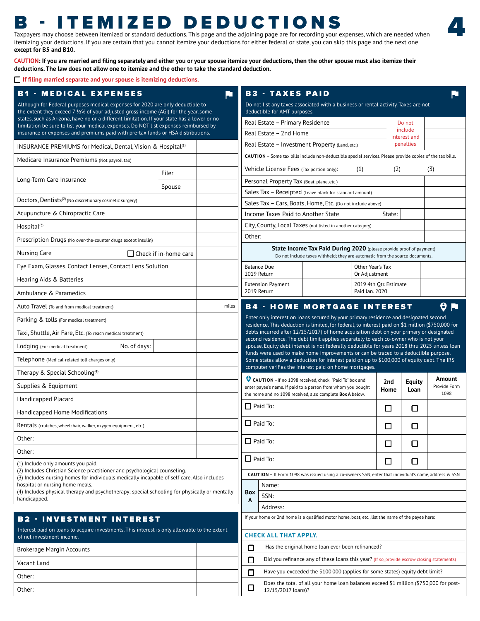### B - ITEMIZED DEDUCTIONS

Taxpayers may choose between itemized or standard deductions. This page and the adjoining page are for recording your expenses, which are needed when itemizing your deductions. If you are certain that you cannot itemize your deductions for either federal or state, you can skip this page and the next one **except for B5 and B10.** 

**CAUTION: If you are married and filing separately and either you or your spouse itemize your deductions, then the other spouse must also itemize their deductions. The law does not allow one to itemize and the other to take the standard deduction.** 

**If filing married separate and your spouse is itemizing deductions.**

| <b>B1 - MEDICAL EXPENSES</b>                                                                                                                                                        | ᆜ     |        | <b>B3 - TAXES PAID</b>                    |                                                                                                                                                                                           |                  |                         |                         |                      |
|-------------------------------------------------------------------------------------------------------------------------------------------------------------------------------------|-------|--------|-------------------------------------------|-------------------------------------------------------------------------------------------------------------------------------------------------------------------------------------------|------------------|-------------------------|-------------------------|----------------------|
| Although for Federal purposes medical expenses for 2020 are only deductible to<br>the extent they exceed 7 1/2% of your adjusted gross income (AGI) for the year, some              |       |        | deductible for AMT purposes.              | Do not list any taxes associated with a business or rental activity. Taxes are not                                                                                                        |                  |                         |                         |                      |
| states, such as Arizona, have no or a different limitation. If your state has a lower or no<br>limitation be sure to list your medical expenses. Do NOT list expenses reimbursed by |       |        | Real Estate - Primary Residence           |                                                                                                                                                                                           |                  |                         | Do not                  |                      |
| insurance or expenses and premiums paid with pre-tax funds or HSA distributions.                                                                                                    |       |        | Real Estate - 2nd Home                    |                                                                                                                                                                                           |                  |                         | include<br>interest and |                      |
| INSURANCE PREMIUMS for Medical, Dental, Vision & Hospital <sup>(1)</sup>                                                                                                            |       |        |                                           | Real Estate - Investment Property (Land, etc.)                                                                                                                                            |                  |                         | penalties               |                      |
| Medicare Insurance Premiums (Not payroll tax)                                                                                                                                       |       |        |                                           | CAUTION - Some tax bills include non-deductible special services. Please provide copies of the tax bills.                                                                                 |                  |                         |                         |                      |
| Filer                                                                                                                                                                               |       |        | Vehicle License Fees (Tax portion only):  |                                                                                                                                                                                           | (1)              | (2)                     |                         | (3)                  |
| Long-Term Care Insurance<br>Spouse                                                                                                                                                  |       |        | Personal Property Tax (Boat, plane, etc.) |                                                                                                                                                                                           |                  |                         |                         |                      |
| Doctors, Dentists <sup>(2)</sup> (No discretionary cosmetic surgery)                                                                                                                |       |        |                                           | Sales Tax - Receipted (Leave blank for standard amount)<br>Sales Tax - Cars, Boats, Home, Etc. (Do not include above)                                                                     |                  |                         |                         |                      |
| Acupuncture & Chiropractic Care                                                                                                                                                     |       |        | Income Taxes Paid to Another State        |                                                                                                                                                                                           |                  | State:                  |                         |                      |
| Hospital <sup>(3)</sup>                                                                                                                                                             |       |        |                                           | City, County, Local Taxes (not listed in another category)                                                                                                                                |                  |                         |                         |                      |
| Prescription Drugs (No over-the-counter drugs except insulin)                                                                                                                       |       | Other: |                                           |                                                                                                                                                                                           |                  |                         |                         |                      |
| Nursing Care<br>$\Box$ Check if in-home care                                                                                                                                        |       |        |                                           | State Income Tax Paid During 2020 (please provide proof of payment)<br>Do not include taxes withheld; they are automatic from the source documents.                                       |                  |                         |                         |                      |
| Eye Exam, Glasses, Contact Lenses, Contact Lens Solution                                                                                                                            |       |        | <b>Balance Due</b><br>2019 Return         |                                                                                                                                                                                           | Other Year's Tax |                         |                         |                      |
| Hearing Aids & Batteries                                                                                                                                                            |       |        | <b>Extension Payment</b>                  |                                                                                                                                                                                           | Or Adjustment    | 2019 4th Otr. Estimate  |                         |                      |
| Ambulance & Paramedics                                                                                                                                                              |       |        | 2019 Return                               |                                                                                                                                                                                           | Paid Jan. 2020   |                         |                         |                      |
| Auto Travel (To and from medical treatment)                                                                                                                                         | miles |        |                                           | <b>B4 - HOME MORTGAGE INTEREST</b>                                                                                                                                                        |                  |                         |                         | 0<br>F               |
| Parking & tolls (For medical treatment)                                                                                                                                             |       |        |                                           | Enter only interest on loans secured by your primary residence and designated second<br>residence. This deduction is limited, for federal, to interest paid on \$1 million (\$750,000 for |                  |                         |                         |                      |
| Taxi, Shuttle, Air Fare, Etc. (To reach medical treatment)                                                                                                                          |       |        |                                           | debts incurred after 12/15/2017) of home acquisition debt on your primary or designated<br>second residence. The debt limit applies separately to each co-owner who is not your           |                  |                         |                         |                      |
| No. of days:<br>Lodging (For medical treatment)                                                                                                                                     |       |        |                                           | spouse. Equity debt interest is not federally deductible for years 2018 thru 2025 unless loan<br>funds were used to make home improvements or can be traced to a deductible purpose.      |                  |                         |                         |                      |
| Telephone (Medical-related toll charges only)                                                                                                                                       |       |        |                                           | Some states allow a deduction for interest paid on up to \$100,000 of equity debt. The IRS                                                                                                |                  |                         |                         |                      |
| Therapy & Special Schooling <sup>(4)</sup>                                                                                                                                          |       |        |                                           | computer verifies the interest paid on home mortgages.<br>CAUTION - If no 1098 received, check "Paid To" box and                                                                          |                  |                         |                         | Amount               |
| Supplies & Equipment                                                                                                                                                                |       |        |                                           | enter payee's name. If paid to a person from whom you bought                                                                                                                              |                  | 2 <sub>nd</sub><br>Home | Equity<br>Loan          | Provide Form<br>1098 |
| Handicapped Placard                                                                                                                                                                 |       |        | $\Box$ Paid To:                           | the home and no 1098 received, also complete Box A below.                                                                                                                                 |                  |                         |                         |                      |
| Handicapped Home Modifications                                                                                                                                                      |       |        |                                           |                                                                                                                                                                                           |                  | $\Box$                  | $\Box$                  |                      |
| Rentals (crutches, wheelchair, walker, oxygen equipment, etc.)                                                                                                                      |       |        | $\Box$ Paid To:                           |                                                                                                                                                                                           |                  | □                       | □                       |                      |
| Other:                                                                                                                                                                              |       |        | $\Box$ Paid To:                           |                                                                                                                                                                                           |                  | $\Box$                  | $\Box$                  |                      |
| Other:                                                                                                                                                                              |       |        | $\Box$ Paid To:                           |                                                                                                                                                                                           |                  |                         |                         |                      |
| (1) Include only amounts you paid.<br>(2) Includes Christian Science practitioner and psychological counseling.                                                                     |       |        |                                           | CAUTION - If Form 1098 was issued using a co-owner's SSN, enter that individual's name, address & SSN                                                                                     |                  | □                       | □                       |                      |
| (3) Includes nursing homes for individuals medically incapable of self care. Also includes<br>hospital or nursing home meals.                                                       |       |        | Name:                                     |                                                                                                                                                                                           |                  |                         |                         |                      |
| (4) Includes physical therapy and psychotherapy; special schooling for physically or mentally                                                                                       |       | Box    | SSN:                                      |                                                                                                                                                                                           |                  |                         |                         |                      |
| handicapped.                                                                                                                                                                        |       | A      | Address:                                  |                                                                                                                                                                                           |                  |                         |                         |                      |
| <b>B2 - INVESTMENT INTEREST</b>                                                                                                                                                     |       |        |                                           | If your home or 2nd home is a qualified motor home, boat, etc., list the name of the payee here:                                                                                          |                  |                         |                         |                      |
| Interest paid on loans to acquire investments. This interest is only allowable to the extent<br>of net investment income.                                                           |       |        | <b>CHECK ALL THAT APPLY.</b>              |                                                                                                                                                                                           |                  |                         |                         |                      |
| <b>Brokerage Margin Accounts</b>                                                                                                                                                    |       | $\Box$ |                                           | Has the original home loan ever been refinanced?                                                                                                                                          |                  |                         |                         |                      |
| Vacant Land                                                                                                                                                                         |       | $\Box$ |                                           | Did you refinance any of these loans this year? (If so, provide escrow closing statements)                                                                                                |                  |                         |                         |                      |
| Other:                                                                                                                                                                              |       | □      |                                           | Have you exceeded the \$100,000 (applies for some states) equity debt limit?                                                                                                              |                  |                         |                         |                      |
| Other:                                                                                                                                                                              |       | □      | 12/15/2017 loans)?                        | Does the total of all your home loan balances exceed \$1 million (\$750,000 for post-                                                                                                     |                  |                         |                         |                      |
|                                                                                                                                                                                     |       |        |                                           |                                                                                                                                                                                           |                  |                         |                         |                      |

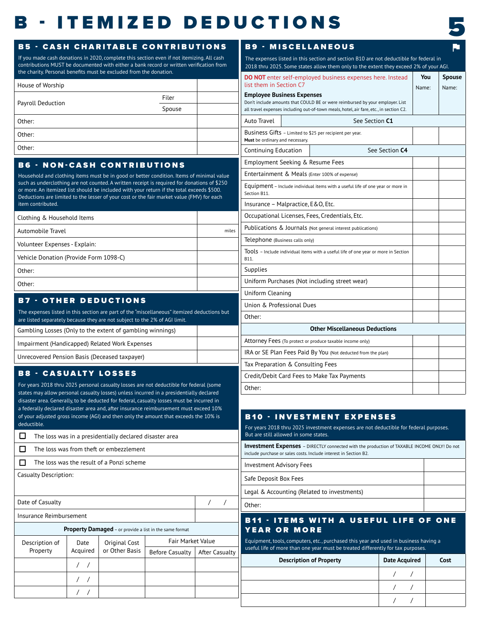## B - ITEMIZED DEDUCTIONS



**You Spouse** Name: Name:

 / / / / / /

#### House of Worship Payroll Deduction Filer Spouse Other: Other: Other: B5 - CASH CHARITABLE CONTRIBUTIONS If you made cash donations in 2020, complete this section even if not itemizing. All cash contributions MUST be documented with either a bank record or written verification from the charity. Personal benefits must be excluded from the donation. Gambling Losses (Only to the extent of gambling winnings) Impairment (Handicapped) Related Work Expenses Unrecovered Pension Basis (Deceased taxpayer) B7 - OTHER DEDUCTIONS The expenses listed in this section are part of the "miscellaneous" itemized deductions but are listed separately because they are not subject to the 2% of AGI limit.  $\Box$  The loss was in a presidentially declared disaster area  $\Box$  The loss was from theft or embezzlement  $\Box$  The loss was the result of a Ponzi scheme Casualty Description: Date of Casualty and the control of Casualty and the control of Casualty and the control of the control of the control of the control of the control of the control of the control of the control of the control of the contro Insurance Reimbursement **Property Damaged** – or provide a list in the same format Description of Property Date Acquired Original Cost or Other Basis Fair Market Value Before Casualty | After Casualty / / / / / / B8 - CASUALTY LOSSES For years 2018 thru 2025 personal casualty losses are not deductible for federal (some states may allow personal casualty losses) unless incurred in a presidentially declared disaster area. Generally, to be deducted for federal, casualty losses must be incurred in a federally declared disaster area and, after insurance reimbursement must exceed 10% of your adjusted gross income (AGI) and then only the amount that exceeds the 10% is deductible. Clothing & Household Items Automobile Travel miles Volunteer Expenses - Explain: Vehicle Donation (Provide Form 1098-C) Other: Other: B6 - NON-CASH CONTRIBUTIONS Household and clothing items must be in good or better condition. Items of minimal value such as underclothing are not counted. A written receipt is required for donations of \$250 or more. An itemized list should be included with your return if the total exceeds \$500. Deductions are limited to the lesser of your cost or the fair market value (FMV) for each item contributed. **Investment Expenses** – DIRECTLY connected with the production of TAXABLE INCOME ONLY! Do not include purchase or sales costs. Include interest in Section B2. Investment Advisory Fees Safe Deposit Box Fees Legal & Accounting (Related to investments) Other: B10 - INVESTMENT EXPENSES For years 2018 thru 2025 investment expenses are not deductible for federal purposes. But are still allowed in some states. **Description of Property Date Acquired Cost** B11 - ITEMS WITH A USEFUL LIFE OF ONE YEAR OR MORE Equipment, tools, computers, etc., purchased this year and used in business having a useful life of more than one year must be treated differently for tax purposes. B9 - MISCELLANEOUS The expenses listed in this section and section B10 are not deductible for federal in 2018 thru 2025. Some states allow them only to the extent they exceed 2% of your AGI. **DO NOT** enter self-employed business expenses here. Instead list them in Section C7 **Employee Business Expenses** Don't include amounts that COULD BE or were reimbursed by your employer. List all travel expenses including out-of-town meals, hotel, air fare, etc., in section C2. Auto Travel **No. 2018** See Section **C1** Business Gifts – Limited to \$25 per recipient per year. **Must** be ordinary and necessary. Continuing Education | See Section C4 Employment Seeking & Resume Fees Entertainment & Meals (Enter 100% of expense) Equipment – Include individual items with a useful life of one year or more in Section B11. Insurance – Malpractice, E&O, Etc. Occupational Licenses, Fees, Credentials, Etc. Publications & Journals (Not general interest publications) Telephone (Business calls only) Tools – Include individual items with a useful life of one year or more in Section B11. **Supplies** Uniform Purchases (Not including street wear) Uniform Cleaning Union & Professional Dues Other: **Other Miscellaneous Deductions** Attorney Fees (To protect or produce taxable income only) IRA or SE Plan Fees Paid By You (Not deducted from the plan) Tax Preparation & Consulting Fees Credit/Debit Card Fees to Make Tax Payments Other: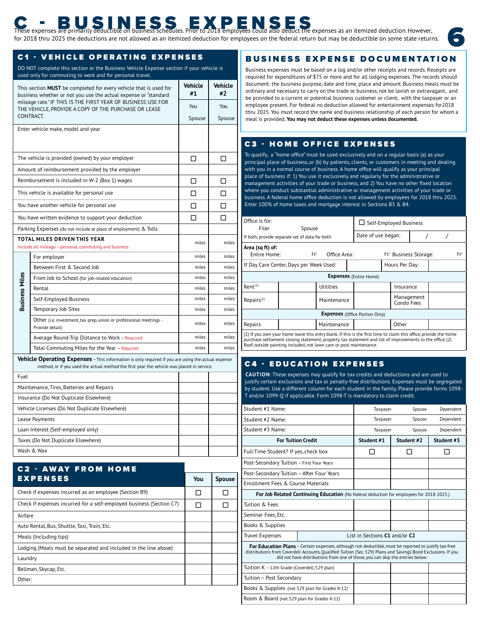## BUS IN SIGN ESSEX PENSENS EXPRESS GALLA AND ENTRES EXPRESS AND THE PRIOR OF STATISTICS OF STATISTICS OF STATISTICS OF STATISTICS OF STATISTICS OF STATISTICS OF STATISTICS OF STATISTICS OF STATISTICS OF STATISTICS OF STATIS

for 2018 thru 2025 the deductions are not allowed as an itemized deduction for employees on the federal return but may be deductible on some state returns.

#### **C1 - VEHICLE OPERATING EXPENSES**

DO NOT complete this section or the Business Vehicle Expense section if your vehicle is used only for commuting to work and for personal travel.

|                       | This section <b>MUST</b> be completed for every vehicle that is used for<br>business whether or not you use the actual expense or "standard                                                             | <b>Vehicle</b><br>#1 | <b>Vehicle</b><br>#2 | docum<br>ordina<br>be pro |
|-----------------------|---------------------------------------------------------------------------------------------------------------------------------------------------------------------------------------------------------|----------------------|----------------------|---------------------------|
|                       | mileage rate." IF THIS IS THE FIRST YEAR OF BUSINESS USE FOR<br>THE VEHICLE, PROVIDE A COPY OF THE PURCHASE OR LEASE                                                                                    | You                  | You                  | emplo                     |
|                       | CONTRACT.                                                                                                                                                                                               | Spouse               | Spouse               | thru 2<br>meal i          |
|                       | Enter vehicle make, model and year                                                                                                                                                                      |                      |                      |                           |
|                       |                                                                                                                                                                                                         |                      |                      | C3                        |
|                       | The vehicle is provided (owned) by your employer                                                                                                                                                        | ◻                    | ⊓                    | To qua<br>princip         |
|                       | Amount of reimbursement provided by the employer                                                                                                                                                        |                      |                      | with yo                   |
|                       | Reimbursement is included in W-2 (Box 1) wages                                                                                                                                                          | П                    | П                    | place o<br>manag          |
|                       | This vehicle is available for personal use                                                                                                                                                              | Π                    | ⊓                    | where<br>busine           |
|                       | You have another vehicle for personal use                                                                                                                                                               | ⊓                    | ⊓                    | Enter 1                   |
|                       | You have written evidence to support your deduction                                                                                                                                                     | ◻                    | ◻                    | Office i                  |
|                       | Parking Expenses (do not include at place of employment) & Tolls                                                                                                                                        |                      |                      |                           |
|                       | TOTAL MILES DRIVEN THIS YEAR<br>Include all mileage - personal, commuting and business                                                                                                                  | miles                | miles                | If both, p<br>Area (s     |
|                       | For employer                                                                                                                                                                                            | miles                | miles                | Enti                      |
|                       | Between First & Second Job                                                                                                                                                                              | miles                | miles                | If Day (                  |
|                       | From Job to School (for job-related education)                                                                                                                                                          | miles                | miles                |                           |
| <b>Business Miles</b> | Rental                                                                                                                                                                                                  | miles                | miles                | Rent <sup>(1)</sup>       |
|                       | Self-Employed Business                                                                                                                                                                                  | miles                | miles                | Repairs                   |
|                       | Temporary Job Sites                                                                                                                                                                                     | miles                | miles                |                           |
|                       | Other (i.e. investment, tax prep, union or professional meetings -<br>Provide detail)                                                                                                                   | miles                | miles                | Repairs                   |
|                       | Average Round-Trip Distance to Work - Required                                                                                                                                                          | miles                | miles                | (1) If you<br>purchase    |
|                       | Total Commuting Miles for the Year - Required                                                                                                                                                           | miles                | miles                | Roof, out                 |
|                       | <b>Vehicle Operating Expenses</b> – This information is only required if you are using the actual expense<br>method, or if you used the actual method the first year the vehicle was placed in service. |                      |                      | C <sub>4</sub>            |
| Fuel                  |                                                                                                                                                                                                         |                      |                      | <b>CAUT</b>               |
|                       | Maintenance, Tires, Batteries and Repairs                                                                                                                                                               |                      |                      | justify<br>by stuc        |
|                       | Insurance (Do Not Duplicate Elsewhere)                                                                                                                                                                  |                      |                      | T and/                    |
|                       | Vehicle Licenses (Do Not Duplicate Elsewhere)                                                                                                                                                           |                      |                      | Studen                    |
|                       | Lease Payments                                                                                                                                                                                          |                      |                      | Studen                    |
|                       | Loan Interest (Self-employed only)                                                                                                                                                                      |                      |                      | Studen                    |
|                       | Taxes (Do Not Duplicate Elsewhere)                                                                                                                                                                      |                      |                      |                           |
|                       | Wash & Wax                                                                                                                                                                                              |                      |                      | Full-Tir                  |

|                                                                      |              |               | Post-Se            |
|----------------------------------------------------------------------|--------------|---------------|--------------------|
| <b>C2 - AWAY FROM HOME</b>                                           |              |               | Post-Se            |
| <b>EXPENSES</b>                                                      | You          | <b>Spouse</b> | Enrollm            |
| Check if expenses incurred as an employee (Section B9)               | п            | H             | Fo                 |
| Check if expenses incurred for a self-employed business (Section C7) | $\mathsf{L}$ | П             | Tuition            |
| Airfare                                                              |              |               | Seminar            |
| Auto Rental, Bus, Shuttle, Taxi, Train, Etc.                         |              |               | Books &            |
| Meals (Including tips)                                               |              |               | Travel E           |
| Lodging (Meals must be separated and included in the line above)     |              |               | For E<br>distribut |
| Laundry                                                              |              |               |                    |
| Bellman, Skycap, Etc.                                                |              |               | Tuition I          |
| Other:                                                               |              |               | Tuition -          |
|                                                                      |              |               | Doolie 8           |

### BUSINESS EXPENSE DOCUMENTATION

Business expenses must be based on a log and/or other receipts and records. Receipts are required for expenditures of \$75 or more and for all lodging expenses. The records should document: the business purpose, date and time, place and amount. Business meals must be ordinary and necessary to carry on the trade or business, not be lavish or extravagant, and be provided to a current or potential business customer or client, with the taxpayer or an employee present. For federal no deduction allowed for entertainment expenses for2018 thru 2025. You must record the name and business relationship of each person for whom a meal is provided. You may not deduct these expenses unless documented.

#### **C3 - HOME OFFICE EXPENSES**

To qualify, a "home office" must be used exclusively and on a regular basis (a) as your principal place of business, or (b) by patients, clients, or customers in meeting and dealing with you in a normal course of business. A home office will qualify as your principal place of business if: 1) You use it exclusively and regularly for the administrative or management activities of your trade or business, and 2) You have no other fixed location where you conduct substantial administrative or management activities of your trade or business. A federal home office deduction is not allowed by employees for 2018 thru 2025. Enter 100% of home taxes and mortgage interest in Sections B3 & B4.

| Office is for:<br>Filer                                                                         | Spouse                                                                                                                                                                                                                       |             |  | $\Box$ Self-Employed Business         |  |                          |  |  |  |                 |
|-------------------------------------------------------------------------------------------------|------------------------------------------------------------------------------------------------------------------------------------------------------------------------------------------------------------------------------|-------------|--|---------------------------------------|--|--------------------------|--|--|--|-----------------|
|                                                                                                 | If both, provide separate set of data for both                                                                                                                                                                               |             |  | Date of use began:                    |  |                          |  |  |  |                 |
| Area (sq ft) of:<br>$Ft^2$<br>Ft <sup>2</sup> Business Storage:<br>Entire Home:<br>Office Area: |                                                                                                                                                                                                                              |             |  |                                       |  |                          |  |  |  | Ft <sup>2</sup> |
| Hours Per Day:<br>If Day Care Center, Days per Week Used:                                       |                                                                                                                                                                                                                              |             |  |                                       |  |                          |  |  |  |                 |
|                                                                                                 |                                                                                                                                                                                                                              |             |  | <b>Expenses</b> (Entire Home)         |  |                          |  |  |  |                 |
| Rent <sup>(1)</sup>                                                                             |                                                                                                                                                                                                                              | Utilities   |  |                                       |  | Insurance                |  |  |  |                 |
| Repairs <sup>(2)</sup>                                                                          |                                                                                                                                                                                                                              | Maintenance |  |                                       |  | Management<br>Condo Fees |  |  |  |                 |
|                                                                                                 |                                                                                                                                                                                                                              |             |  | <b>Expenses</b> (Office Portion Only) |  |                          |  |  |  |                 |
| Other<br>Repairs<br>Maintenance                                                                 |                                                                                                                                                                                                                              |             |  |                                       |  |                          |  |  |  |                 |
|                                                                                                 | (1) If you own your home leave this entry blank. If this is the first time to claim this office, provide the home<br>purchase sottlement closing statement property tax statement and list of improvements to the office (2) |             |  |                                       |  |                          |  |  |  |                 |

purchase settlement closing statement, property tax statement and list of improvements to the office. (2)<br>Roof, outside painting included, not lawn care or pool maintenance.

#### **C4 - EDUCATION EXPENSES**

file://variated.html/sb44b20f-6895-48a7-a58b-b35cffbeed0e/generated.html 6/834-a58b-b35cffbeed0e/generated.html 6/84

CAUTION: These expenses may qualify for tax credits and deductions and are used to justify certain exclusions and tax or penalty-free distributions. Expenses must be segregated by student. Use a different column for each student in the family. Please provide forms 1098- T and/or 1099-Q if applicable. Form 1098-T is mandatory to claim credit.

| Student #1 Name:                                |                                                                                                                                                                                                                                                                                                         | Taxpayer                      | Spouse     | Dependent  |
|-------------------------------------------------|---------------------------------------------------------------------------------------------------------------------------------------------------------------------------------------------------------------------------------------------------------------------------------------------------------|-------------------------------|------------|------------|
| Student #2 Name:                                |                                                                                                                                                                                                                                                                                                         | Taxpayer                      | Spouse     | Dependent  |
| Student #3 Name:                                |                                                                                                                                                                                                                                                                                                         | Taxpayer                      | Spouse     | Dependent  |
| <b>For Tuition Credit</b>                       |                                                                                                                                                                                                                                                                                                         | Student #1                    | Student #2 | Student #3 |
| Full-Time Student? If yes, check box            |                                                                                                                                                                                                                                                                                                         | - 1                           |            |            |
| Post-Secondary Tuition - First Four Years       |                                                                                                                                                                                                                                                                                                         |                               |            |            |
| Post-Secondary Tuition - After Four Years       |                                                                                                                                                                                                                                                                                                         |                               |            |            |
| Enrollment Fees & Course Materials              |                                                                                                                                                                                                                                                                                                         |                               |            |            |
|                                                 | For Job Related Continuing Education (No federal deduction for employees for 2018-2025.)                                                                                                                                                                                                                |                               |            |            |
| Tuition & Fees                                  |                                                                                                                                                                                                                                                                                                         |                               |            |            |
| Seminar Fees, Etc.                              |                                                                                                                                                                                                                                                                                                         |                               |            |            |
| Books & Supplies                                |                                                                                                                                                                                                                                                                                                         |                               |            |            |
| <b>Travel Expenses</b>                          |                                                                                                                                                                                                                                                                                                         | List in Sections C1 and/or C2 |            |            |
|                                                 | For Education Plans - Certain expenses, although not deductible, must be reported to justify tax-free<br>distributions from Coverdell Accounts, Oualified Tuition (Sec. 529) Plans and Savings Bond Exclusions. If you<br>did not have distributions from one of those, you can skip the entries below. |                               |            |            |
| Tuition K - 12th Grade (Coverdell, 529 plan)    |                                                                                                                                                                                                                                                                                                         |                               |            |            |
| Tuition - Post Secondary                        |                                                                                                                                                                                                                                                                                                         |                               |            |            |
| Books & Supplies (not 529 plan for Grades K-12) |                                                                                                                                                                                                                                                                                                         |                               |            |            |
| Room & Board (not 529 plan for Grades K-12)     |                                                                                                                                                                                                                                                                                                         |                               |            |            |

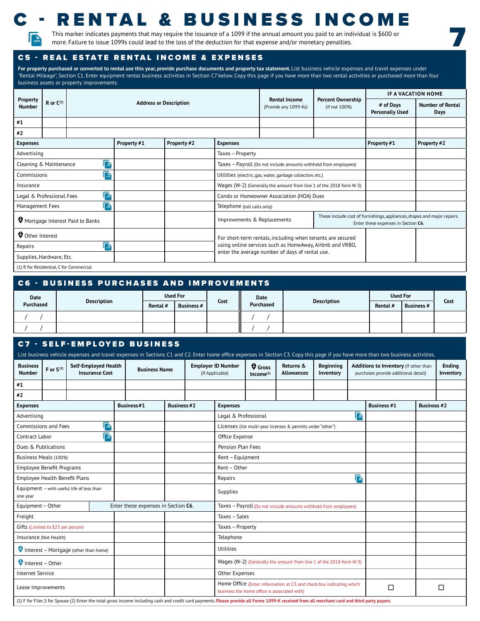

# RENTAL & BUSINESS INCOME

7

This marker indicates payments that may require the issuance of a 1099 if the annual amount you paid to an individual is \$600 or more. Failure to issue 1099s could lead to the loss of the deduction for that expense and/or monetary penalties.<br>How more. Failure to issue 1099s could lead to the loss of the deduction for that expense and/or monetary pen

#### C5 - REAL ESTATE RENTAL INCOME & EXPENSES

For property purchased or converted to rental use this year, provide purchase documents and property tax statement. List business vehicle expenses and travel expenses under "Rental Mileage", Section C1. Enter equipment rental business activities in Section C7 below. Copy this page if you have more than two rental activities or purchased more than four business assets or property improvements.

|                                        |                  |                                 |                               |             |                             |                                                                     |                                                                                                                 | IF A VACATION HOME                  |                                 |
|----------------------------------------|------------------|---------------------------------|-------------------------------|-------------|-----------------------------|---------------------------------------------------------------------|-----------------------------------------------------------------------------------------------------------------|-------------------------------------|---------------------------------|
| Property<br><b>Number</b>              | $R$ or $C^{(1)}$ |                                 | <b>Address or Description</b> |             |                             | <b>Rental Income</b><br>(Provide any 1099-Ks)                       | <b>Percent Ownership</b><br>(if not 100%)                                                                       | # of Days<br><b>Personally Used</b> | <b>Number of Rental</b><br>Days |
| #1                                     |                  |                                 |                               |             |                             |                                                                     |                                                                                                                 |                                     |                                 |
| #2                                     |                  |                                 |                               |             |                             |                                                                     |                                                                                                                 |                                     |                                 |
| <b>Expenses</b>                        |                  |                                 | Property #1                   | Property #2 | <b>Expenses</b>             |                                                                     |                                                                                                                 | Property #1                         | Property #2                     |
| Advertising                            |                  |                                 |                               |             | Taxes - Property            |                                                                     |                                                                                                                 |                                     |                                 |
| Cleaning & Maintenance                 |                  | <b>The</b>                      |                               |             |                             | Taxes - Payroll (Do not include amounts withheld from employees)    |                                                                                                                 |                                     |                                 |
| Commissions                            |                  | $\overline{\mathbb{R}}$         |                               |             |                             | Utilities (electric, gas, water, garbage collection, etc.)          |                                                                                                                 |                                     |                                 |
| Insurance                              |                  |                                 |                               |             |                             | Wages (W-2) (Generally the amount from line 1 of the 2018 form W-3) |                                                                                                                 |                                     |                                 |
| Legal & Professional Fees              |                  | $\overline{\mathbb{F}_{100}}$   |                               |             |                             | Condo or Homeowner Association (HOA) Dues                           |                                                                                                                 |                                     |                                 |
| Management Fees                        |                  |                                 |                               |             | Telephone (toll calls only) |                                                                     |                                                                                                                 |                                     |                                 |
|                                        |                  | Mortgage Interest Paid to Banks |                               |             | Improvements & Replacements |                                                                     | These include cost of furnishings, appliances, drapes and major repairs.<br>Enter these expenses in Section C6. |                                     |                                 |
| Other Interest                         |                  |                                 |                               |             |                             | For short-term rentals, including when tenants are secured          |                                                                                                                 |                                     |                                 |
| Repairs                                |                  | $\overline{\mathbb{R}}$         |                               |             |                             | using online services such as HomeAway, Airbnb and VRBO,            |                                                                                                                 |                                     |                                 |
| Supplies, Hardware, Etc.               |                  |                                 |                               |             |                             | enter the average number of days of rental use.                     |                                                                                                                 |                                     |                                 |
| (1) P for Posidential C for Commercial |                  |                                 |                               |             |                             |                                                                     |                                                                                                                 |                                     |                                 |

(1) R for Residential, C for Commercial

| C6 - BUSINESS PURCHASES AND IMPROVEMENTS |                    |                 |            |      |           |                    |          |                   |      |  |  |  |
|------------------------------------------|--------------------|-----------------|------------|------|-----------|--------------------|----------|-------------------|------|--|--|--|
| Date                                     |                    | <b>Used For</b> |            | Date |           |                    |          | <b>Used For</b>   |      |  |  |  |
| Purchased                                | <b>Description</b> | Rental #        | Business # | Cost | Purchased | <b>Description</b> | Rental # | <b>Business #</b> | Cost |  |  |  |
|                                          |                    |                 |            |      |           |                    |          |                   |      |  |  |  |
|                                          |                    |                 |            |      |           |                    |          |                   |      |  |  |  |

#### **C7 - SELF-EMPLOYED BUSINESS**

|                                                       |                |                                       |                                                      |            |                                     |                    |                 |                                                                     |                                              |                                                                                                                                                                                                 |                               |                         | List business vehicle expenses and travel expenses in Sections C1 and C2. Enter home office expenses in Section C3. Copy this page if you have more than two business activities. |                    |                            |
|-------------------------------------------------------|----------------|---------------------------------------|------------------------------------------------------|------------|-------------------------------------|--------------------|-----------------|---------------------------------------------------------------------|----------------------------------------------|-------------------------------------------------------------------------------------------------------------------------------------------------------------------------------------------------|-------------------------------|-------------------------|-----------------------------------------------------------------------------------------------------------------------------------------------------------------------------------|--------------------|----------------------------|
| <b>Business</b><br><b>Number</b>                      | F or $S^{(1)}$ |                                       | <b>Self-Employed Health</b><br><b>Insurance Cost</b> |            | <b>Business Name</b>                |                    | (If Applicable) | <b>Employer ID Number</b>                                           | $\Theta$ Gross<br>Income <sup>(2)</sup>      | Returns &<br><b>Allowances</b>                                                                                                                                                                  | <b>Beginning</b><br>Inventory |                         | Additions to Inventory (If other than<br>purchases provide additional detail)                                                                                                     |                    | <b>Ending</b><br>Inventory |
| #1                                                    |                |                                       |                                                      |            |                                     |                    |                 |                                                                     |                                              |                                                                                                                                                                                                 |                               |                         |                                                                                                                                                                                   |                    |                            |
| #2                                                    |                |                                       |                                                      |            |                                     |                    |                 |                                                                     |                                              |                                                                                                                                                                                                 |                               |                         |                                                                                                                                                                                   |                    |                            |
| <b>Expenses</b>                                       |                |                                       |                                                      | Business#1 |                                     | <b>Business #2</b> |                 | <b>Expenses</b>                                                     |                                              |                                                                                                                                                                                                 |                               |                         | <b>Business #1</b>                                                                                                                                                                | <b>Business #2</b> |                            |
| Advertising                                           |                |                                       |                                                      |            |                                     |                    |                 | Legal & Professional                                                |                                              |                                                                                                                                                                                                 |                               | $\sqrt{\frac{1}{1000}}$ |                                                                                                                                                                                   |                    |                            |
| Commissions and Fees                                  |                |                                       | $\sqrt{\frac{1}{100}}$                               |            |                                     |                    |                 |                                                                     |                                              | Licenses (list multi-year licenses & permits under "other")                                                                                                                                     |                               |                         |                                                                                                                                                                                   |                    |                            |
| Contract Labor                                        |                |                                       | $\overline{\mathbb{R}}$                              |            |                                     |                    |                 | Office Expense                                                      |                                              |                                                                                                                                                                                                 |                               |                         |                                                                                                                                                                                   |                    |                            |
| Dues & Publications                                   |                |                                       |                                                      |            |                                     |                    |                 | Pension Plan Fees                                                   |                                              |                                                                                                                                                                                                 |                               |                         |                                                                                                                                                                                   |                    |                            |
| Business Meals (100%)                                 |                |                                       |                                                      |            |                                     |                    |                 | Rent - Equipment                                                    |                                              |                                                                                                                                                                                                 |                               |                         |                                                                                                                                                                                   |                    |                            |
| <b>Employee Benefit Programs</b>                      |                |                                       |                                                      |            |                                     |                    |                 | Rent - Other                                                        |                                              |                                                                                                                                                                                                 |                               |                         |                                                                                                                                                                                   |                    |                            |
| Employee Health Benefit Plans                         |                |                                       |                                                      |            |                                     |                    |                 | Repairs                                                             |                                              |                                                                                                                                                                                                 |                               | $\sqrt{\frac{1}{100}}$  |                                                                                                                                                                                   |                    |                            |
| Equipment - with useful life of less than<br>one year |                |                                       |                                                      |            |                                     |                    |                 | Supplies                                                            |                                              |                                                                                                                                                                                                 |                               |                         |                                                                                                                                                                                   |                    |                            |
| Equipment - Other                                     |                |                                       |                                                      |            | Enter these expenses in Section C6. |                    |                 |                                                                     |                                              | Taxes - Payroll (Do not include amounts withheld from employees)                                                                                                                                |                               |                         |                                                                                                                                                                                   |                    |                            |
| Freight                                               |                |                                       |                                                      |            |                                     |                    |                 | Taxes - Sales                                                       |                                              |                                                                                                                                                                                                 |                               |                         |                                                                                                                                                                                   |                    |                            |
| Gifts (Limited to \$25 per person)                    |                |                                       |                                                      |            |                                     |                    |                 | Taxes - Property                                                    |                                              |                                                                                                                                                                                                 |                               |                         |                                                                                                                                                                                   |                    |                            |
| Insurance (Not Health)                                |                |                                       |                                                      |            |                                     |                    |                 | Telephone                                                           |                                              |                                                                                                                                                                                                 |                               |                         |                                                                                                                                                                                   |                    |                            |
|                                                       |                | Interest - Mortgage (other than home) |                                                      |            |                                     |                    |                 | Utilities                                                           |                                              |                                                                                                                                                                                                 |                               |                         |                                                                                                                                                                                   |                    |                            |
| $\Theta$ Interest – Other                             |                |                                       |                                                      |            |                                     |                    |                 | Wages (W-2) (Generally the amount from line 1 of the 2018 form W-3) |                                              |                                                                                                                                                                                                 |                               |                         |                                                                                                                                                                                   |                    |                            |
| <b>Internet Service</b>                               |                |                                       |                                                      |            |                                     |                    |                 | Other Expenses                                                      |                                              |                                                                                                                                                                                                 |                               |                         |                                                                                                                                                                                   |                    |                            |
| Lease Improvements                                    |                |                                       |                                                      |            |                                     |                    |                 |                                                                     | business the home office is associated with) | Home Office (Enter information at C3 and check box indicating which                                                                                                                             |                               |                         | $\Box$<br>$\Box$                                                                                                                                                                  |                    |                            |
|                                                       |                |                                       |                                                      |            |                                     |                    |                 |                                                                     |                                              | (1) F for Filer, S for Spouse (2) Enter the total gross income including cash and credit card payments. Please provide all Forms 1099-K received from all merchant card and third party payers. |                               |                         |                                                                                                                                                                                   |                    |                            |